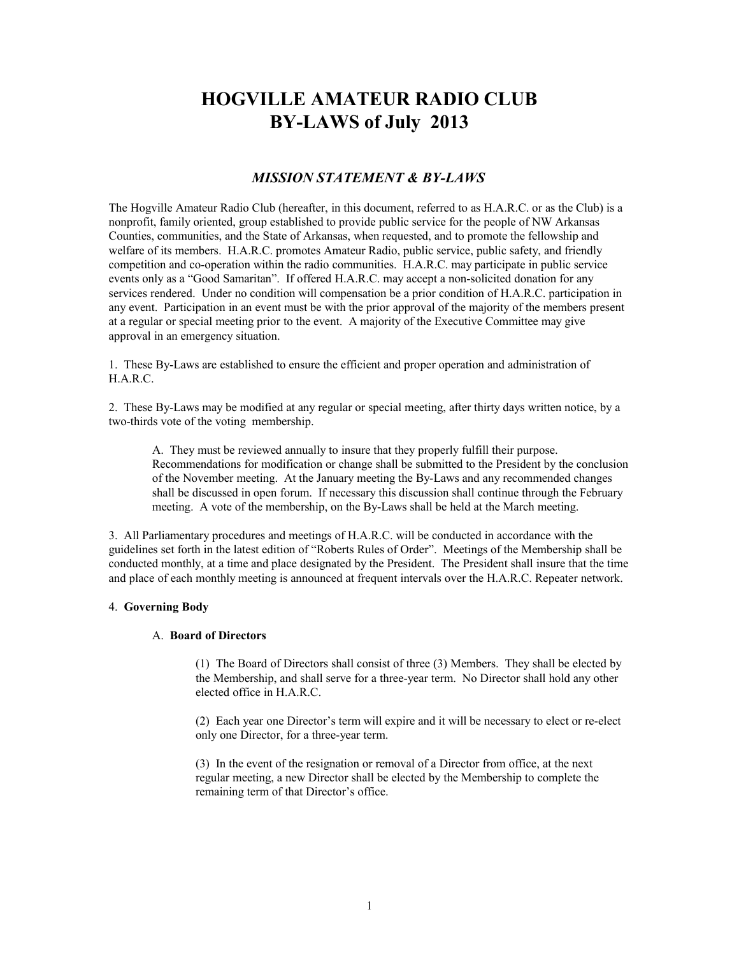# **HOGVILLE AMATEUR RADIO CLUB BY-LAWS of July 2013**

## *MISSION STATEMENT & BY-LAWS*

The Hogville Amateur Radio Club (hereafter, in this document, referred to as H.A.R.C. or as the Club) is a nonprofit, family oriented, group established to provide public service for the people of NW Arkansas Counties, communities, and the State of Arkansas, when requested, and to promote the fellowship and welfare of its members. H.A.R.C. promotes Amateur Radio, public service, public safety, and friendly competition and co-operation within the radio communities. H.A.R.C. may participate in public service events only as a "Good Samaritan". If offered H.A.R.C. may accept a non-solicited donation for any services rendered. Under no condition will compensation be a prior condition of H.A.R.C. participation in any event. Participation in an event must be with the prior approval of the majority of the members present at a regular or special meeting prior to the event. A majority of the Executive Committee may give approval in an emergency situation.

1. These By-Laws are established to ensure the efficient and proper operation and administration of H.A.R.C.

2. These By-Laws may be modified at any regular or special meeting, after thirty days written notice, by a two-thirds vote of the voting membership.

A. They must be reviewed annually to insure that they properly fulfill their purpose. Recommendations for modification or change shall be submitted to the President by the conclusion of the November meeting. At the January meeting the By-Laws and any recommended changes shall be discussed in open forum. If necessary this discussion shall continue through the February meeting. A vote of the membership, on the By-Laws shall be held at the March meeting.

3. All Parliamentary procedures and meetings of H.A.R.C. will be conducted in accordance with the guidelines set forth in the latest edition of "Roberts Rules of Order". Meetings of the Membership shall be conducted monthly, at a time and place designated by the President. The President shall insure that the time and place of each monthly meeting is announced at frequent intervals over the H.A.R.C. Repeater network.

## 4. **Governing Body**

#### A. **Board of Directors**

(1) The Board of Directors shall consist of three (3) Members. They shall be elected by the Membership, and shall serve for a three-year term. No Director shall hold any other elected office in H.A.R.C.

(2) Each year one Director's term will expire and it will be necessary to elect or re-elect only one Director, for a three-year term.

(3) In the event of the resignation or removal of a Director from office, at the next regular meeting, a new Director shall be elected by the Membership to complete the remaining term of that Director's office.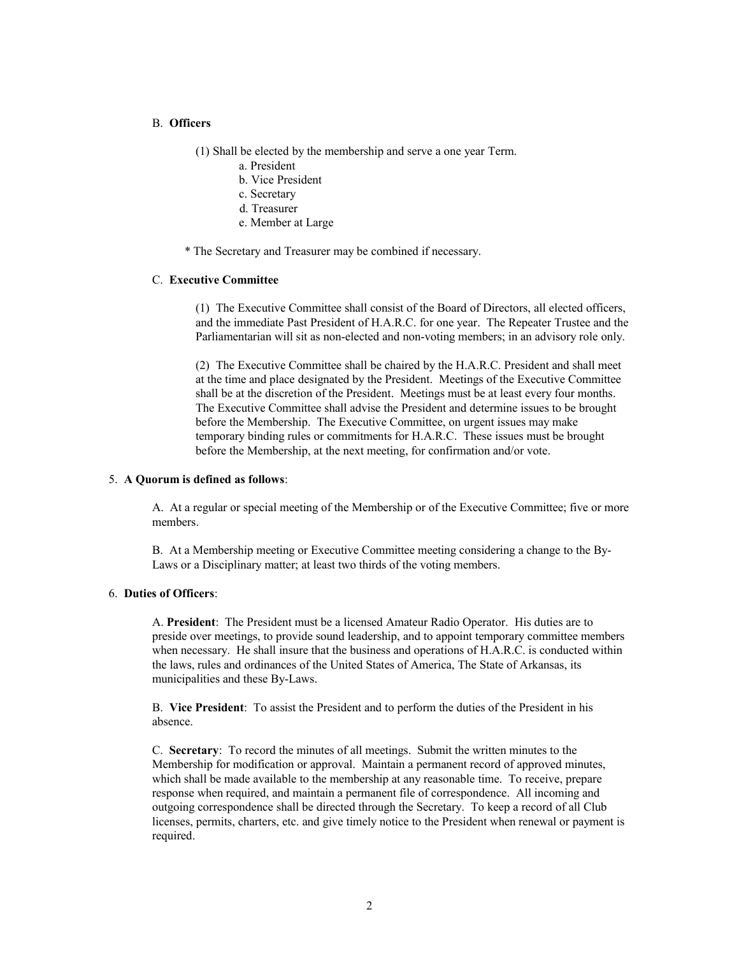#### B. **Officers**

(1) Shall be elected by the membership and serve a one year Term.

- a. President
- b. Vice President
- c. Secretary
- d. Treasurer
- e. Member at Large

\* The Secretary and Treasurer may be combined if necessary.

## C. **Executive Committee**

(1) The Executive Committee shall consist of the Board of Directors, all elected officers, and the immediate Past President of H.A.R.C. for one year. The Repeater Trustee and the Parliamentarian will sit as non-elected and non-voting members; in an advisory role only.

(2) The Executive Committee shall be chaired by the H.A.R.C. President and shall meet at the time and place designated by the President. Meetings of the Executive Committee shall be at the discretion of the President. Meetings must be at least every four months. The Executive Committee shall advise the President and determine issues to be brought before the Membership. The Executive Committee, on urgent issues may make temporary binding rules or commitments for H.A.R.C. These issues must be brought before the Membership, at the next meeting, for confirmation and/or vote.

### 5. **A Quorum is defined as follows**:

A. At a regular or special meeting of the Membership or of the Executive Committee; five or more members.

B. At a Membership meeting or Executive Committee meeting considering a change to the By-Laws or a Disciplinary matter; at least two thirds of the voting members.

#### 6. **Duties of Officers**:

A. **President**: The President must be a licensed Amateur Radio Operator. His duties are to preside over meetings, to provide sound leadership, and to appoint temporary committee members when necessary. He shall insure that the business and operations of H.A.R.C. is conducted within the laws, rules and ordinances of the United States of America, The State of Arkansas, its municipalities and these By-Laws.

B. **Vice President**: To assist the President and to perform the duties of the President in his absence.

C. **Secretary**: To record the minutes of all meetings. Submit the written minutes to the Membership for modification or approval. Maintain a permanent record of approved minutes, which shall be made available to the membership at any reasonable time. To receive, prepare response when required, and maintain a permanent file of correspondence. All incoming and outgoing correspondence shall be directed through the Secretary. To keep a record of all Club licenses, permits, charters, etc. and give timely notice to the President when renewal or payment is required.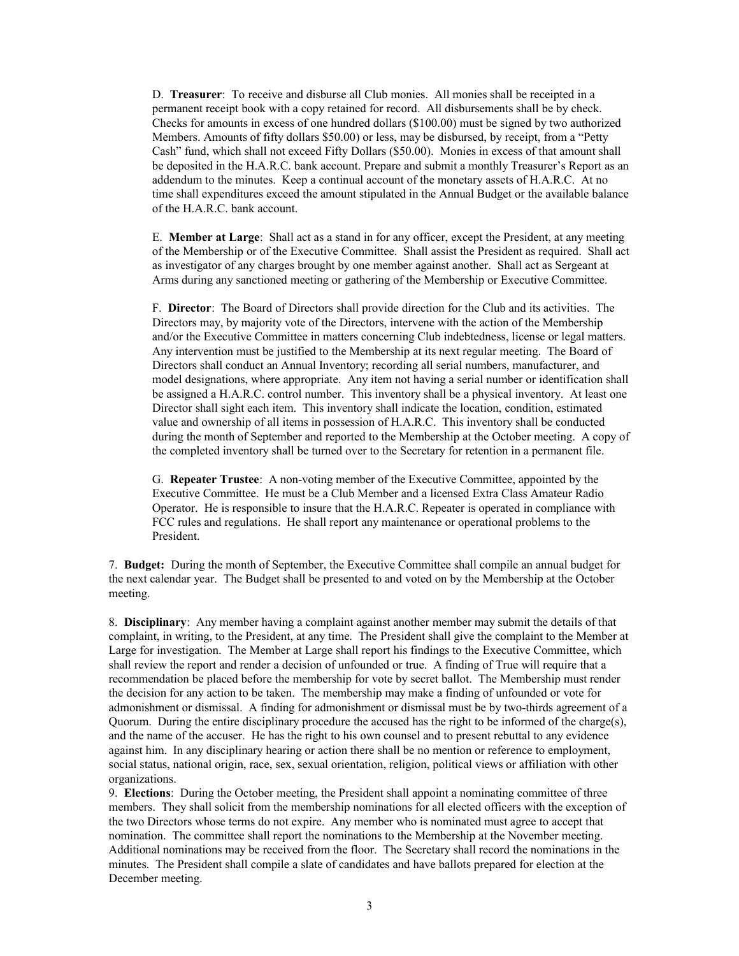D. **Treasurer**: To receive and disburse all Club monies. All monies shall be receipted in a permanent receipt book with a copy retained for record. All disbursements shall be by check. Checks for amounts in excess of one hundred dollars (\$100.00) must be signed by two authorized Members. Amounts of fifty dollars \$50.00) or less, may be disbursed, by receipt, from a "Petty Cash" fund, which shall not exceed Fifty Dollars (\$50.00). Monies in excess of that amount shall be deposited in the H.A.R.C. bank account. Prepare and submit a monthly Treasurer's Report as an addendum to the minutes. Keep a continual account of the monetary assets of H.A.R.C. At no time shall expenditures exceed the amount stipulated in the Annual Budget or the available balance of the H.A.R.C. bank account.

E. **Member at Large**: Shall act as a stand in for any officer, except the President, at any meeting of the Membership or of the Executive Committee. Shall assist the President as required. Shall act as investigator of any charges brought by one member against another. Shall act as Sergeant at Arms during any sanctioned meeting or gathering of the Membership or Executive Committee.

F. **Director**: The Board of Directors shall provide direction for the Club and its activities. The Directors may, by majority vote of the Directors, intervene with the action of the Membership and/or the Executive Committee in matters concerning Club indebtedness, license or legal matters. Any intervention must be justified to the Membership at its next regular meeting. The Board of Directors shall conduct an Annual Inventory; recording all serial numbers, manufacturer, and model designations, where appropriate. Any item not having a serial number or identification shall be assigned a H.A.R.C. control number. This inventory shall be a physical inventory. At least one Director shall sight each item. This inventory shall indicate the location, condition, estimated value and ownership of all items in possession of H.A.R.C. This inventory shall be conducted during the month of September and reported to the Membership at the October meeting. A copy of the completed inventory shall be turned over to the Secretary for retention in a permanent file.

G. **Repeater Trustee**: A non-voting member of the Executive Committee, appointed by the Executive Committee. He must be a Club Member and a licensed Extra Class Amateur Radio Operator. He is responsible to insure that the H.A.R.C. Repeater is operated in compliance with FCC rules and regulations. He shall report any maintenance or operational problems to the President.

7. **Budget:** During the month of September, the Executive Committee shall compile an annual budget for the next calendar year. The Budget shall be presented to and voted on by the Membership at the October meeting.

8. **Disciplinary**: Any member having a complaint against another member may submit the details of that complaint, in writing, to the President, at any time. The President shall give the complaint to the Member at Large for investigation. The Member at Large shall report his findings to the Executive Committee, which shall review the report and render a decision of unfounded or true. A finding of True will require that a recommendation be placed before the membership for vote by secret ballot. The Membership must render the decision for any action to be taken. The membership may make a finding of unfounded or vote for admonishment or dismissal. A finding for admonishment or dismissal must be by two-thirds agreement of a Quorum. During the entire disciplinary procedure the accused has the right to be informed of the charge(s), and the name of the accuser. He has the right to his own counsel and to present rebuttal to any evidence against him. In any disciplinary hearing or action there shall be no mention or reference to employment, social status, national origin, race, sex, sexual orientation, religion, political views or affiliation with other organizations.

9. **Elections**: During the October meeting, the President shall appoint a nominating committee of three members. They shall solicit from the membership nominations for all elected officers with the exception of the two Directors whose terms do not expire. Any member who is nominated must agree to accept that nomination. The committee shall report the nominations to the Membership at the November meeting. Additional nominations may be received from the floor. The Secretary shall record the nominations in the minutes. The President shall compile a slate of candidates and have ballots prepared for election at the December meeting.